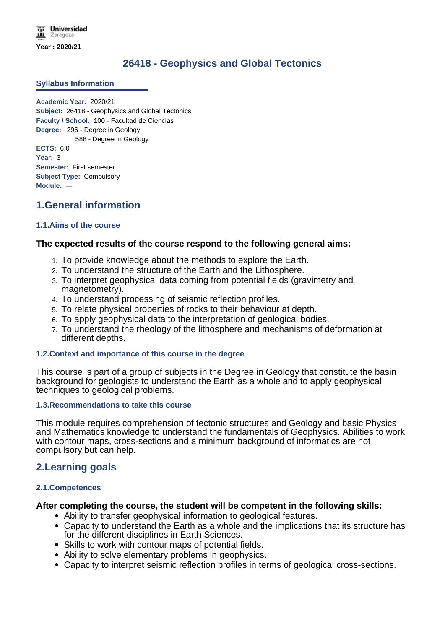# **26418 - Geophysics and Global Tectonics**

### **Syllabus Information**

**Academic Year:** 2020/21 **Subject:** 26418 - Geophysics and Global Tectonics **Faculty / School:** 100 - Facultad de Ciencias **Degree:** 296 - Degree in Geology 588 - Degree in Geology **ECTS:** 6.0 **Year:** 3 **Semester:** First semester **Subject Type:** Compulsory **Module:** ---

# **1.General information**

# **1.1.Aims of the course**

# **The expected results of the course respond to the following general aims:**

- 1. To provide knowledge about the methods to explore the Earth.
- 2. To understand the structure of the Earth and the Lithosphere.
- 3. To interpret geophysical data coming from potential fields (gravimetry and magnetometry).
- 4. To understand processing of seismic reflection profiles.
- 5. To relate physical properties of rocks to their behaviour at depth.
- 6. To apply geophysical data to the interpretation of geological bodies.
- 7. To understand the rheology of the lithosphere and mechanisms of deformation at different depths.

### **1.2.Context and importance of this course in the degree**

This course is part of a group of subjects in the Degree in Geology that constitute the basin background for geologists to understand the Earth as a whole and to apply geophysical techniques to geological problems.

### **1.3.Recommendations to take this course**

This module requires comprehension of tectonic structures and Geology and basic Physics and Mathematics knowledge to understand the fundamentals of Geophysics. Abilities to work with contour maps, cross-sections and a minimum background of informatics are not compulsory but can help.

# **2.Learning goals**

# **2.1.Competences**

# **After completing the course, the student will be competent in the following skills:**

- Ability to transfer geophysical information to geological features.
- Capacity to understand the Earth as a whole and the implications that its structure has for the different disciplines in Earth Sciences.
- Skills to work with contour maps of potential fields.
- Ability to solve elementary problems in geophysics.
- Capacity to interpret seismic reflection profiles in terms of geological cross-sections.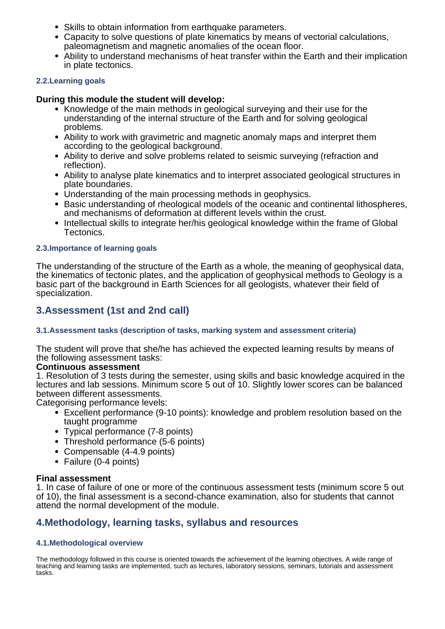- Skills to obtain information from earthquake parameters.
- Capacity to solve questions of plate kinematics by means of vectorial calculations, paleomagnetism and magnetic anomalies of the ocean floor.
- Ability to understand mechanisms of heat transfer within the Earth and their implication in plate tectonics.

# **2.2.Learning goals**

# **During this module the student will develop:**

- Knowledge of the main methods in geological surveying and their use for the understanding of the internal structure of the Earth and for solving geological problems.
- Ability to work with gravimetric and magnetic anomaly maps and interpret them according to the geological background.
- Ability to derive and solve problems related to seismic surveying (refraction and reflection).
- Ability to analyse plate kinematics and to interpret associated geological structures in plate boundaries.
- Understanding of the main processing methods in geophysics.
- Basic understanding of rheological models of the oceanic and continental lithospheres, and mechanisms of deformation at different levels within the crust.
- Intellectual skills to integrate her/his geological knowledge within the frame of Global Tectonics.

# **2.3.Importance of learning goals**

The understanding of the structure of the Earth as a whole, the meaning of geophysical data, the kinematics of tectonic plates, and the application of geophysical methods to Geology is a basic part of the background in Earth Sciences for all geologists, whatever their field of specialization.

# **3.Assessment (1st and 2nd call)**

# **3.1.Assessment tasks (description of tasks, marking system and assessment criteria)**

The student will prove that she/he has achieved the expected learning results by means of the following assessment tasks:

# **Continuous assessment**

1. Resolution of 3 tests during the semester, using skills and basic knowledge acquired in the lectures and lab sessions. Minimum score 5 out of 10. Slightly lower scores can be balanced between different assessments.

Categorising performance levels:

- Excellent performance (9-10 points): knowledge and problem resolution based on the taught programme
- Typical performance (7-8 points)
- Threshold performance (5-6 points)
- Compensable (4-4.9 points)
- Failure (0-4 points)

# **Final assessment**

1. In case of failure of one or more of the continuous assessment tests (minimum score 5 out of 10), the final assessment is a second-chance examination, also for students that cannot attend the normal development of the module.

# **4.Methodology, learning tasks, syllabus and resources**

# **4.1.Methodological overview**

The methodology followed in this course is oriented towards the achievement of the learning objectives. A wide range of teaching and learning tasks are implemented, such as lectures, laboratory sessions, seminars, tutorials and assessment tasks.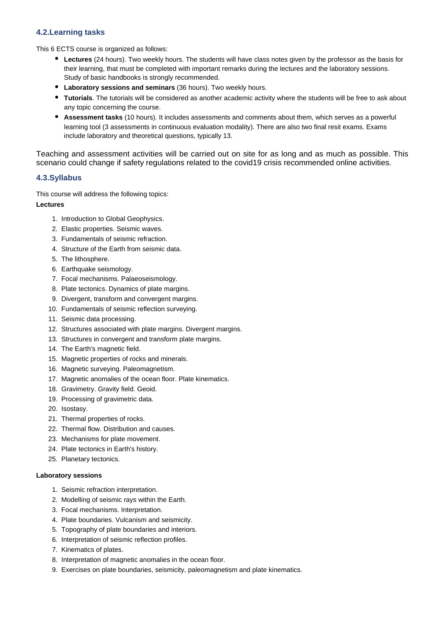### **4.2.Learning tasks**

This 6 ECTS course is organized as follows:

- **Lectures** (24 hours). Two weekly hours. The students will have class notes given by the professor as the basis for their learning, that must be completed with important remarks during the lectures and the laboratory sessions. Study of basic handbooks is strongly recommended.
- **Laboratory sessions and seminars** (36 hours). Two weekly hours.
- **Tutorials**. The tutorials will be considered as another academic activity where the students will be free to ask about any topic concerning the course.
- **Assessment tasks** (10 hours). It includes assessments and comments about them, which serves as a powerful learning tool (3 assessments in continuous evaluation modality). There are also two final resit exams. Exams include laboratory and theoretical questions, typically 13.

Teaching and assessment activities will be carried out on site for as long and as much as possible. This scenario could change if safety regulations related to the covid19 crisis recommended online activities.

### **4.3.Syllabus**

This course will address the following topics:

#### **Lectures**

- 1. Introduction to Global Geophysics.
- 2. Elastic properties. Seismic waves.
- 3. Fundamentals of seismic refraction.
- 4. Structure of the Earth from seismic data.
- 5. The lithosphere.
- 6. Earthquake seismology.
- 7. Focal mechanisms. Palaeoseismology.
- 8. Plate tectonics. Dynamics of plate margins.
- 9. Divergent, transform and convergent margins.
- 10. Fundamentals of seismic reflection surveying.
- 11. Seismic data processing.
- 12. Structures associated with plate margins. Divergent margins.
- 13. Structures in convergent and transform plate margins.
- 14. The Earth's magnetic field.
- 15. Magnetic properties of rocks and minerals.
- 16. Magnetic surveying. Paleomagnetism.
- 17. Magnetic anomalies of the ocean floor. Plate kinematics.
- 18. Gravimetry. Gravity field. Geoid.
- 19. Processing of gravimetric data.
- 20. Isostasy.
- 21. Thermal properties of rocks.
- 22. Thermal flow. Distribution and causes.
- 23. Mechanisms for plate movement.
- 24. Plate tectonics in Earth's history.
- 25. Planetary tectonics.

#### **Laboratory sessions**

- 1. Seismic refraction interpretation.
- 2. Modelling of seismic rays within the Earth.
- 3. Focal mechanisms. Interpretation.
- 4. Plate boundaries. Vulcanism and seismicity.
- 5. Topography of plate boundaries and interiors.
- 6. Interpretation of seismic reflection profiles.
- 7. Kinematics of plates.
- 8. Interpretation of magnetic anomalies in the ocean floor.
- 9. Exercises on plate boundaries, seismicity, paleomagnetism and plate kinematics.